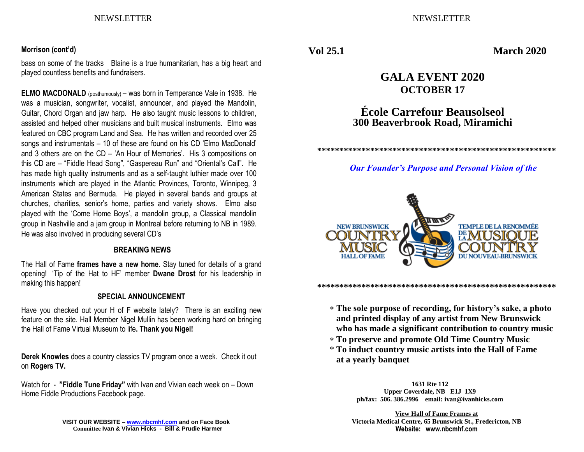### NEWSLETTER NEWSLETTER

#### **Morrison (cont'd)**

bass on some of the tracks Blaine is a true humanitarian, has a big heart and played countless benefits and fundraisers.

**ELMO MACDONALD** (posthumously) – was born in Temperance Vale in 1938. He was a musician, songwriter, vocalist, announcer, and played the Mandolin, Guitar, Chord Organ and jaw harp. He also taught music lessons to children, assisted and helped other musicians and built musical instruments. Elmo was featured on CBC program Land and Sea. He has written and recorded over 25 songs and instrumentals – 10 of these are found on his CD 'Elmo MacDonald' and 3 others are on the CD – 'An Hour of Memories'. His 3 compositions on this CD are – "Fiddle Head Song", "Gaspereau Run" and "Oriental's Call". He has made high quality instruments and as a self-taught luthier made over 100 instruments which are played in the Atlantic Provinces, Toronto, Winnipeg, 3 American States and Bermuda. He played in several bands and groups at churches, charities, senior's home, parties and variety shows. Elmo also played with the 'Come Home Boys', a mandolin group, a Classical mandolin group in Nashville and a jam group in Montreal before returning to NB in 1989. He was also involved in producing several CD's

#### **BREAKING NEWS**

The Hall of Fame **frames have a new home**. Stay tuned for details of a grand opening! 'Tip of the Hat to HF' member **Dwane Drost** for his leadership in making this happen!

#### **SPECIAL ANNOUNCEMENT**

Have you checked out your H of F website lately? There is an exciting new feature on the site. Hall Member Nigel Mullin has been working hard on bringing the Hall of Fame Virtual Museum to life**. Thank you Nigel!**

**Derek Knowles** does a country classics TV program once a week. Check it out on **Rogers TV.**

Watch for - **"Fiddle Tune Friday"** with Ivan and Vivian each week on – Down Home Fiddle Productions Facebook page.

> **VISIT OUR WEBSITE – [www.nbcmhf.com](http://www.nbcmhf.com/) and on Face Book Committee Ivan & Vivian Hicks - Bill & Prudie Harmer**

**Vol 25.1 March 2020**

# **GALA EVENT 2020 OCTOBER 17**

# **École Carrefour Beausolseol 300 Beaverbrook Road, Miramichi**

**\*\*\*\*\*\*\*\*\*\*\*\*\*\*\*\*\*\*\*\*\*\*\*\*\*\*\*\*\*\*\*\*\*\*\*\*\*\*\*\*\*\*\*\*\*\*\*\*\*\*\*\*\*\*** 

#### *Our Founder's Purpose and Personal Vision of the*



#### **\*\*\*\*\*\*\*\*\*\*\*\*\*\*\*\*\*\*\*\*\*\*\*\*\*\*\*\*\*\*\*\*\*\*\*\*\*\*\*\*\*\*\*\*\*\*\*\*\*\*\*\*\*\***

- **The sole purpose of recording, for history's sake, a photo and printed display of any artist from New Brunswick who has made a significant contribution to country music**
- **To preserve and promote Old Time Country Music**
- \* **To induct country music artists into the Hall of Fame at a yearly banquet**

**1631 Rte 112 Upper Coverdale, NB E1J 1X9 ph/fax: 506. 386.2996 email: ivan@ivanhicks.com**

**View Hall of Fame Frames at Victoria Medical Centre, 65 Brunswick St., Fredericton, NB Website: www.nbcmhf.com**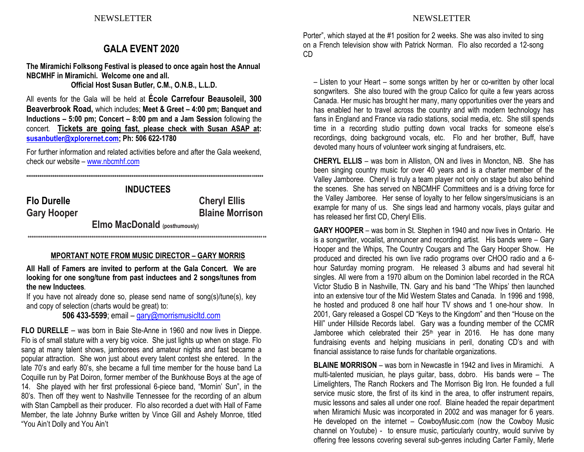## **GALA EVENT 2020**

**The Miramichi Folksong Festival is pleased to once again host the Annual NBCMHF in Miramichi. Welcome one and all. Official Host Susan Butler, C.M., O.N.B., L.L.D.**

All events for the Gala will be held at **École Carrefour Beausoleil, 300 Beaverbrook Road,** which includes; **Meet & Greet – 4:00 pm; Banquet and Inductions – 5:00 pm; Concert – 8:00 pm and a Jam Session** following the concert. **Tickets are going fast, please check with Susan ASAP at: [susanbutler@xplorernet.com;](mailto:susanbutler@xplorernet.com) Ph: 506 622-1780**

For further information and related activities before and after the Gala weekend, check our website – [www.nbcmhf.com](http://www.nbcmhf.com/)

**\*\*\*\*\*\*\*\*\*\*\*\*\*\*\*\*\*\*\*\*\*\*\*\*\*\*\*\*\*\*\*\*\*\*\*\*\*\*\*\*\*\*\*\*\*\*\*\*\*\*\*\*\*\*\*\*\*\*\*\*\*\*\*\*\*\*\*\*\*\*\*\*\*\*\*\*\*\*\*\*\*\*\*\*\*\*\*\*\*\*\*\*\*\*\*\*\*\*\*\*\*\*\*\*\*\*\*\*\*\*\*\*\*\*\*\*\*\*\*\*\*\*\*\*\*\***

**INDUCTEES Flo Durelle Cheryl Ellis Gary Hooper Blaine Morrison Elmo MacDonald (posthumously) \*\*\*\*\*\*\*\*\*\*\*\*\*\*\*\*\*\*\*\*\*\*\*\*\*\*\*\*\*\*\*\*\*\*\*\*\*\*\*\*\*\*\*\*\*\*\*\*\*\*\*\*\*\*\*\*\*\*\*\*\*\*\*\*\*\*\*\*\*\*\*\*\*\*\*\*\*\*\*\*\*\*\*\*\*\*\*\*\*\*\*\*\*\*\*\*\*\*\*\*\*\*\*\*\*\*\*\*\*\*\*\*\*\*\*\*\*\*\*\*\*\*\*\*\*\*\***

#### **MPORTANT NOTE FROM MUSIC DIRECTOR – GARY MORRIS**

**All Hall of Famers are invited to perform at the Gala Concert. We are looking for one song/tune from past inductees and 2 songs/tunes from the new Inductees.**

If you have not already done so, please send name of song(s)/tune(s), key and copy of selection (charts would be great) to:

**506 433-5599**; email – [gary@morrismusicltd.com](mailto:gary@morrismusicltd.com)

**FLO DURELLE** – was born in Baie Ste-Anne in 1960 and now lives in Dieppe. Flo is of small stature with a very big voice. She just lights up when on stage. Flo sang at many talent shows, jamborees and amateur nights and fast became a popular attraction. She won just about every talent contest she entered. In the late 70's and early 80's, she became a full time member for the house band La Coquille run by Pat Doiron, former member of the Bunkhouse Boys at the age of 14. She played with her first professional 6-piece band, "Mornin' Sun", in the 80's. Then off they went to Nashville Tennessee for the recording of an album with Stan Campbell as their producer. Flo also recorded a duet with Hall of Fame Member, the late Johnny Burke written by Vince Gill and Ashely Monroe, titled "You Ain't Dolly and You Ain't

Porter", which stayed at the #1 position for 2 weeks. She was also invited to sing on a French television show with Patrick Norman. Flo also recorded a 12-song CD

– Listen to your Heart – some songs written by her or co-written by other local songwriters. She also toured with the group Calico for quite a few years across Canada. Her music has brought her many, many opportunities over the years and has enabled her to travel across the country and with modern technology has fans in England and France via radio stations, social media, etc. She still spends time in a recording studio putting down vocal tracks for someone else's recordings, doing background vocals, etc. Flo and her brother, Buff, have devoted many hours of volunteer work singing at fundraisers, etc.

**CHERYL ELLIS** – was born in Alliston, ON and lives in Moncton, NB. She has been singing country music for over 40 years and is a charter member of the Valley Jamboree. Cheryl is truly a team player not only on stage but also behind the scenes. She has served on NBCMHF Committees and is a driving force for the Valley Jamboree. Her sense of loyalty to her fellow singers/musicians is an example for many of us. She sings lead and harmony vocals, plays guitar and has released her first CD, Cheryl Ellis.

**GARY HOOPER** – was born in St. Stephen in 1940 and now lives in Ontario. He is a songwriter, vocalist, announcer and recording artist. His bands were – Gary Hooper and the Whips, The Country Cougars and The Gary Hooper Show. He produced and directed his own live radio programs over CHOO radio and a 6 hour Saturday morning program. He released 3 albums and had several hit singles. All were from a 1970 album on the Dominion label recorded in the RCA Victor Studio B in Nashville, TN. Gary and his band "The Whips' then launched into an extensive tour of the Mid Western States and Canada. In 1996 and 1998, he hosted and produced 8 one half hour TV shows and 1 one-hour show. In 2001, Gary released a Gospel CD "Keys to the Kingdom" and then "House on the Hill" under Hillside Records label. Gary was a founding member of the CCMR Jamboree which celebrated their  $25<sup>th</sup>$  year in 2016. He has done many fundraising events and helping musicians in peril, donating CD's and with financial assistance to raise funds for charitable organizations.

**BLAINE MORRISON** – was born in Newcastle in 1942 and lives in Miramichi. A multi-talented musician, he plays guitar, bass, dobro. His bands were – The Limelighters, The Ranch Rockers and The Morrison Big Iron. He founded a full service music store, the first of its kind in the area, to offer instrument repairs, music lessons and sales all under one roof. Blaine headed the repair department when Miramichi Music was incorporated in 2002 and was manager for 6 years. He developed on the internet – CowboyMusic.com (now the Cowboy Music channel on Youtube) - to ensure music, particularly country, would survive by offering free lessons covering several sub-genres including Carter Family, Merle